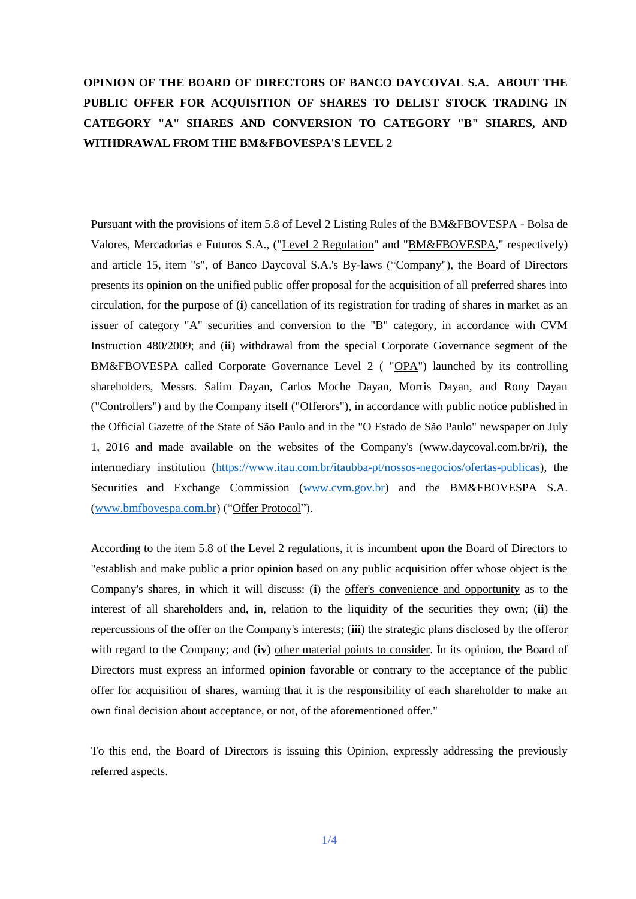# **OPINION OF THE BOARD OF DIRECTORS OF BANCO DAYCOVAL S.A. ABOUT THE PUBLIC OFFER FOR ACQUISITION OF SHARES TO DELIST STOCK TRADING IN CATEGORY "A" SHARES AND CONVERSION TO CATEGORY "B" SHARES, AND WITHDRAWAL FROM THE BM&FBOVESPA'S LEVEL 2**

Pursuant with the provisions of item 5.8 of Level 2 Listing Rules of the BM&FBOVESPA - Bolsa de Valores, Mercadorias e Futuros S.A., ("Level 2 Regulation" and "BM&FBOVESPA," respectively) and article 15, item "s", of Banco Daycoval S.A.'s By-laws ("Company"), the Board of Directors presents its opinion on the unified public offer proposal for the acquisition of all preferred shares into circulation, for the purpose of (**i**) cancellation of its registration for trading of shares in market as an issuer of category "A" securities and conversion to the "B" category, in accordance with CVM Instruction 480/2009; and (**ii**) withdrawal from the special Corporate Governance segment of the BM&FBOVESPA called Corporate Governance Level 2 ( "OPA") launched by its controlling shareholders, Messrs. Salim Dayan, Carlos Moche Dayan, Morris Dayan, and Rony Dayan ("Controllers") and by the Company itself ("Offerors"), in accordance with public notice published in the Official Gazette of the State of São Paulo and in the "O Estado de São Paulo" newspaper on July 1, 2016 and made available on the websites of the Company's (www.daycoval.com.br/ri), the intermediary institution (https://www.itau.com.br/itaubba-pt/nossos-negocios/ofertas-publicas), the Securities and Exchange Commission (www.cvm.gov.br) and the BM&FBOVESPA S.A. [\(www.bmfbovespa.com.br\)](http://www.bmfbovespa.com.br/) ("Offer Protocol").

According to the item 5.8 of the Level 2 regulations, it is incumbent upon the Board of Directors to "establish and make public a prior opinion based on any public acquisition offer whose object is the Company's shares, in which it will discuss: (**i**) the offer's convenience and opportunity as to the interest of all shareholders and, in, relation to the liquidity of the securities they own; (**ii**) the repercussions of the offer on the Company's interests; (**iii**) the strategic plans disclosed by the offeror with regard to the Company; and (**iv**) other material points to consider. In its opinion, the Board of Directors must express an informed opinion favorable or contrary to the acceptance of the public offer for acquisition of shares, warning that it is the responsibility of each shareholder to make an own final decision about acceptance, or not, of the aforementioned offer."

To this end, the Board of Directors is issuing this Opinion, expressly addressing the previously referred aspects.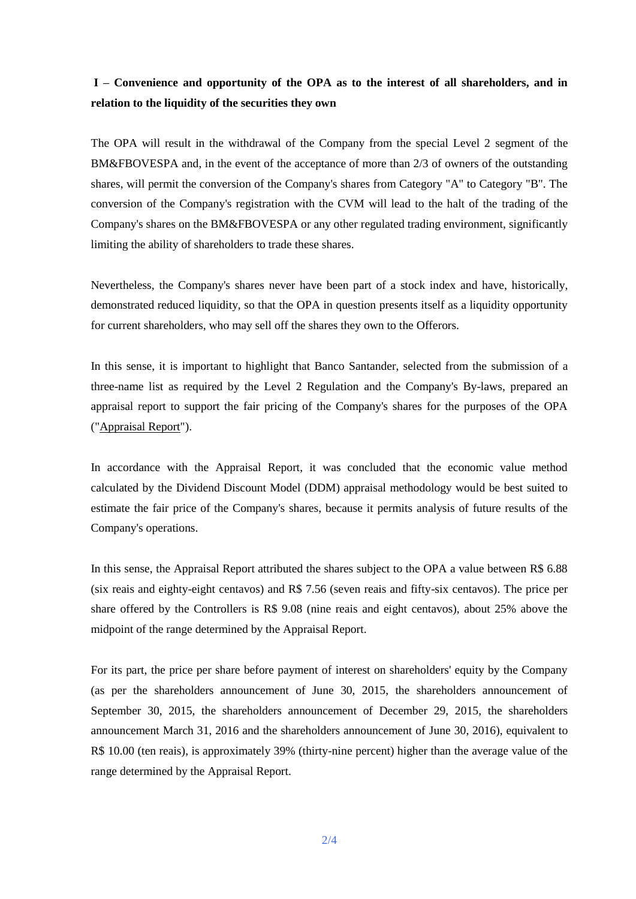# **I – Convenience and opportunity of the OPA as to the interest of all shareholders, and in relation to the liquidity of the securities they own**

The OPA will result in the withdrawal of the Company from the special Level 2 segment of the BM&FBOVESPA and, in the event of the acceptance of more than 2/3 of owners of the outstanding shares, will permit the conversion of the Company's shares from Category "A" to Category "B". The conversion of the Company's registration with the CVM will lead to the halt of the trading of the Company's shares on the BM&FBOVESPA or any other regulated trading environment, significantly limiting the ability of shareholders to trade these shares.

Nevertheless, the Company's shares never have been part of a stock index and have, historically, demonstrated reduced liquidity, so that the OPA in question presents itself as a liquidity opportunity for current shareholders, who may sell off the shares they own to the Offerors.

In this sense, it is important to highlight that Banco Santander, selected from the submission of a three-name list as required by the Level 2 Regulation and the Company's By-laws, prepared an appraisal report to support the fair pricing of the Company's shares for the purposes of the OPA ("Appraisal Report").

In accordance with the Appraisal Report, it was concluded that the economic value method calculated by the Dividend Discount Model (DDM) appraisal methodology would be best suited to estimate the fair price of the Company's shares, because it permits analysis of future results of the Company's operations.

In this sense, the Appraisal Report attributed the shares subject to the OPA a value between R\$ 6.88 (six reais and eighty-eight centavos) and R\$ 7.56 (seven reais and fifty-six centavos). The price per share offered by the Controllers is R\$ 9.08 (nine reais and eight centavos), about 25% above the midpoint of the range determined by the Appraisal Report.

For its part, the price per share before payment of interest on shareholders' equity by the Company (as per the shareholders announcement of June 30, 2015, the shareholders announcement of September 30, 2015, the shareholders announcement of December 29, 2015, the shareholders announcement March 31, 2016 and the shareholders announcement of June 30, 2016), equivalent to R\$ 10.00 (ten reais), is approximately 39% (thirty-nine percent) higher than the average value of the range determined by the Appraisal Report.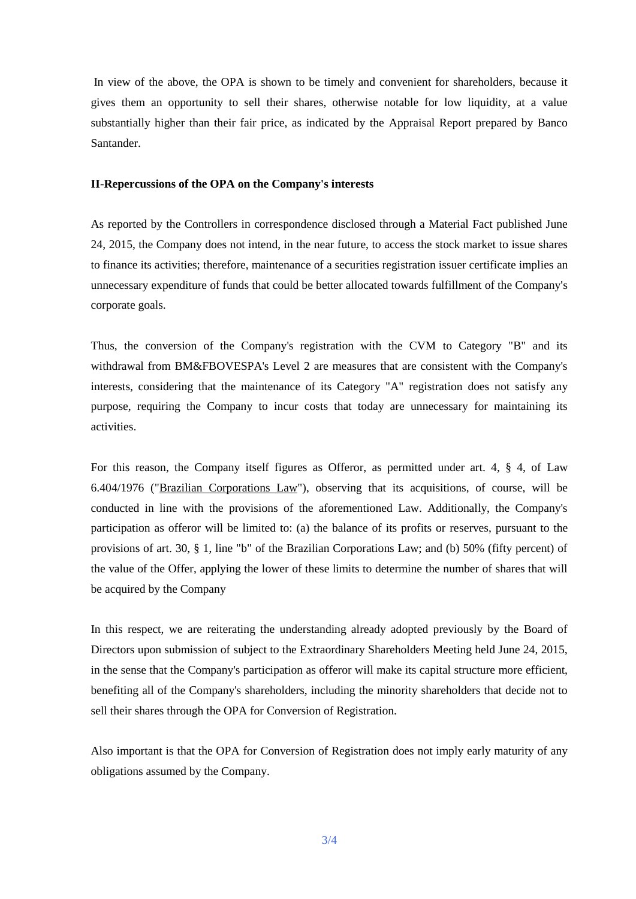In view of the above, the OPA is shown to be timely and convenient for shareholders, because it gives them an opportunity to sell their shares, otherwise notable for low liquidity, at a value substantially higher than their fair price, as indicated by the Appraisal Report prepared by Banco Santander.

#### **II-Repercussions of the OPA on the Company's interests**

As reported by the Controllers in correspondence disclosed through a Material Fact published June 24, 2015, the Company does not intend, in the near future, to access the stock market to issue shares to finance its activities; therefore, maintenance of a securities registration issuer certificate implies an unnecessary expenditure of funds that could be better allocated towards fulfillment of the Company's corporate goals.

Thus, the conversion of the Company's registration with the CVM to Category "B" and its withdrawal from BM&FBOVESPA's Level 2 are measures that are consistent with the Company's interests, considering that the maintenance of its Category "A" registration does not satisfy any purpose, requiring the Company to incur costs that today are unnecessary for maintaining its activities.

For this reason, the Company itself figures as Offeror, as permitted under art. 4, § 4, of Law 6.404/1976 ("Brazilian Corporations Law"), observing that its acquisitions, of course, will be conducted in line with the provisions of the aforementioned Law. Additionally, the Company's participation as offeror will be limited to: (a) the balance of its profits or reserves, pursuant to the provisions of art. 30, § 1, line "b" of the Brazilian Corporations Law; and (b) 50% (fifty percent) of the value of the Offer, applying the lower of these limits to determine the number of shares that will be acquired by the Company

In this respect, we are reiterating the understanding already adopted previously by the Board of Directors upon submission of subject to the Extraordinary Shareholders Meeting held June 24, 2015, in the sense that the Company's participation as offeror will make its capital structure more efficient, benefiting all of the Company's shareholders, including the minority shareholders that decide not to sell their shares through the OPA for Conversion of Registration.

Also important is that the OPA for Conversion of Registration does not imply early maturity of any obligations assumed by the Company.